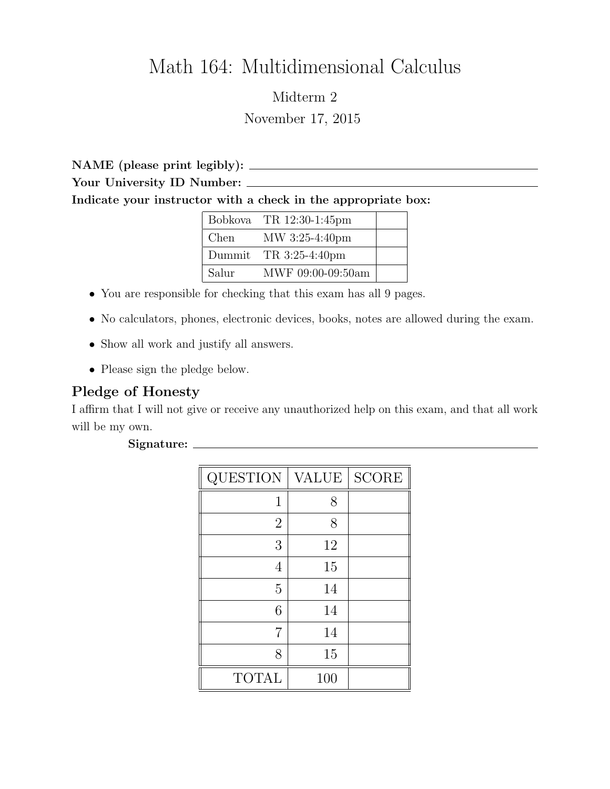## Math 164: Multidimensional Calculus

## Midterm 2 November 17, 2015

NAME (please print legibly): Your University ID Number: Indicate your instructor with a check in the appropriate box:

|       | Bobkova TR $12:30-1:45$ pm |  |
|-------|----------------------------|--|
| Chen  | MW 3:25-4:40pm             |  |
|       | Dummit TR $3:25-4:40$ pm   |  |
| Salur | MWF 09:00-09:50am          |  |

- You are responsible for checking that this exam has all 9 pages.
- No calculators, phones, electronic devices, books, notes are allowed during the exam.
- Show all work and justify all answers.
- Please sign the pledge below.

## Pledge of Honesty

I affirm that I will not give or receive any unauthorized help on this exam, and that all work will be my own.

| QUESTION       | VALUE | <b>SCORE</b> |
|----------------|-------|--------------|
| 1              | 8     |              |
| $\overline{2}$ | 8     |              |
| 3              | 12    |              |
| 4              | 15    |              |
| $\overline{5}$ | 14    |              |
| 6              | 14    |              |
| 7              | 14    |              |
| 8              | 15    |              |
| <b>TOTAL</b>   | 100   |              |

## Signature: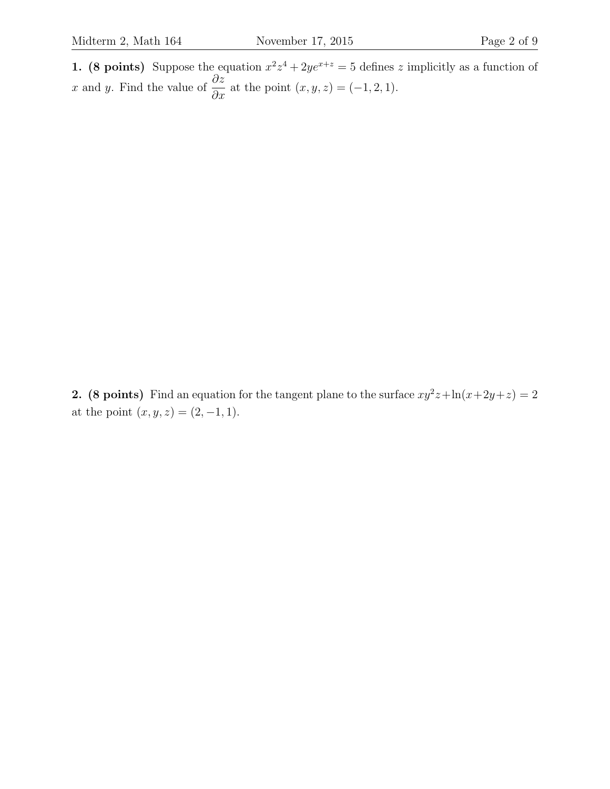1. (8 points) Suppose the equation  $x^2z^4 + 2ye^{x+z} = 5$  defines z implicitly as a function of x and y. Find the value of  $\frac{\partial z}{\partial x}$  at the point  $(x, y, z) = (-1, 2, 1)$ .

2. (8 points) Find an equation for the tangent plane to the surface  $xy^2z + \ln(x+2y+z) = 2$ at the point  $(x, y, z) = (2, -1, 1)$ .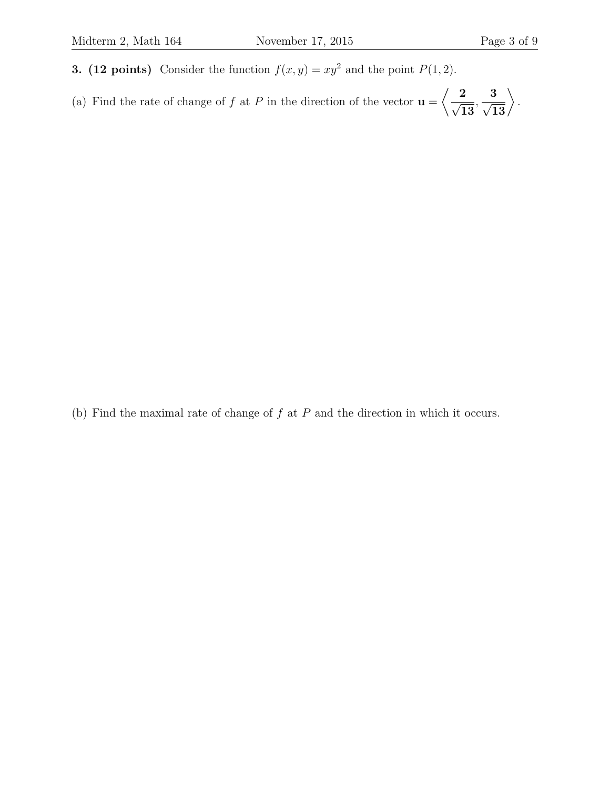- 3. (12 points) Consider the function  $f(x, y) = xy^2$  and the point  $P(1, 2)$ .
- (a) Find the rate of change of f at P in the direction of the vector  $\mathbf{u} =$  $\left\langle \frac{2}{\sqrt{2}}\right\rangle$ 13 ,  $\begin{array}{c} 3 \ \sqrt{13} \end{array} \Big\rangle$ .

(b) Find the maximal rate of change of  $f$  at  $P$  and the direction in which it occurs.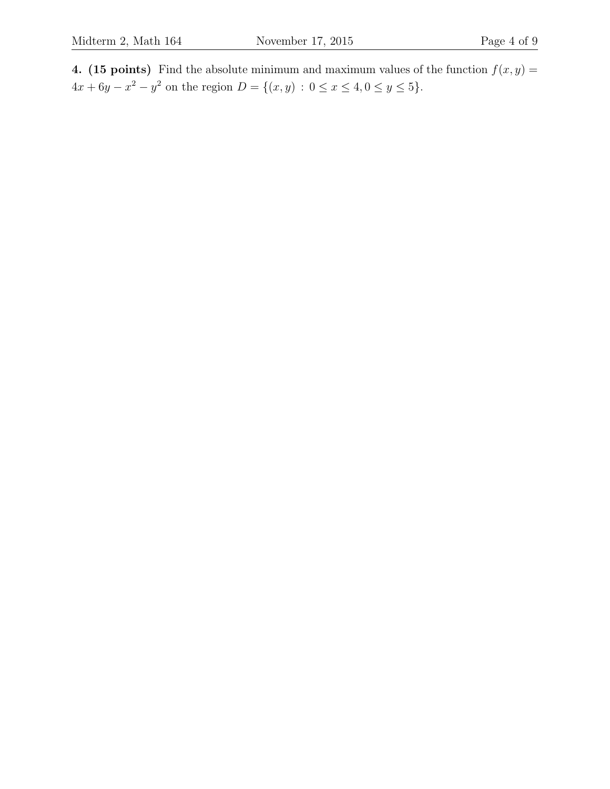4. (15 points) Find the absolute minimum and maximum values of the function  $f(x, y) =$  $4x + 6y - x^2 - y^2$  on the region  $D = \{(x, y) : 0 \le x \le 4, 0 \le y \le 5\}.$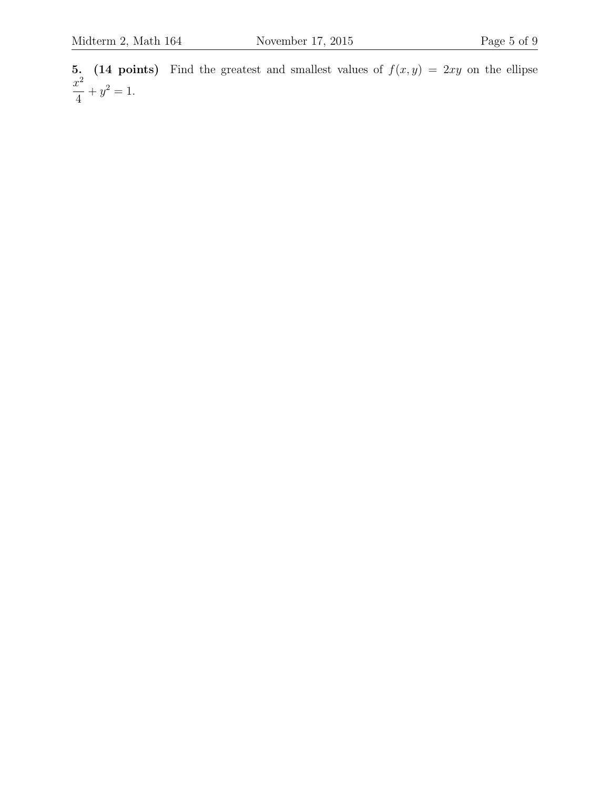5. (14 points) Find the greatest and smallest values of  $f(x, y) = 2xy$  on the ellipse  $x^2$ 4  $+y^2=1.$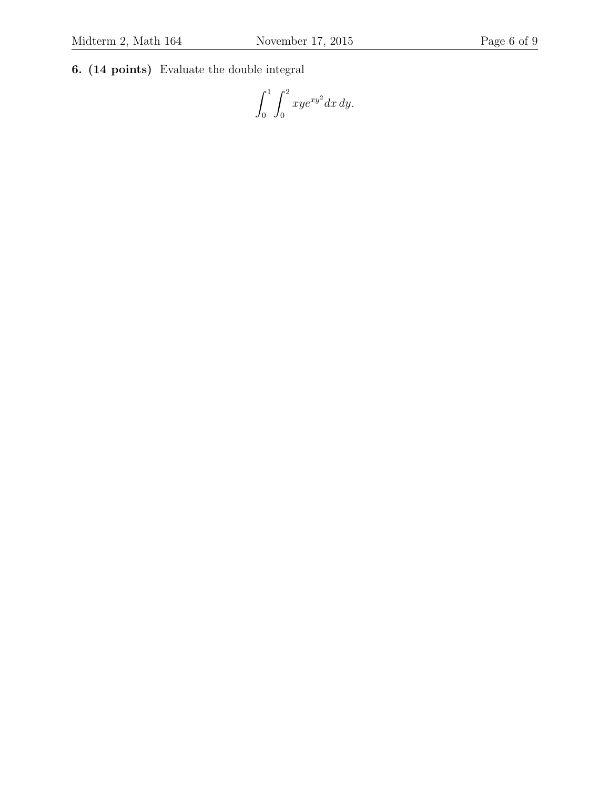6. (14 points) Evaluate the double integral

 $\int_1^1$ 0  $\int_0^2$  $\boldsymbol{0}$  $xye^{xy^2}dx dy.$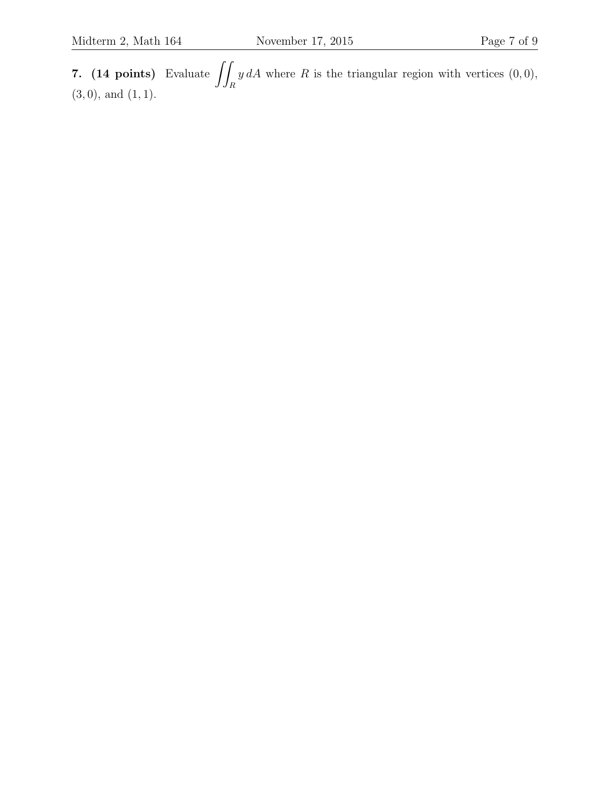7. (14 points) Evaluate  $\int$ R  $y dA$  where R is the triangular region with vertices  $(0, 0)$ ,  $(3, 0)$ , and  $(1, 1)$ .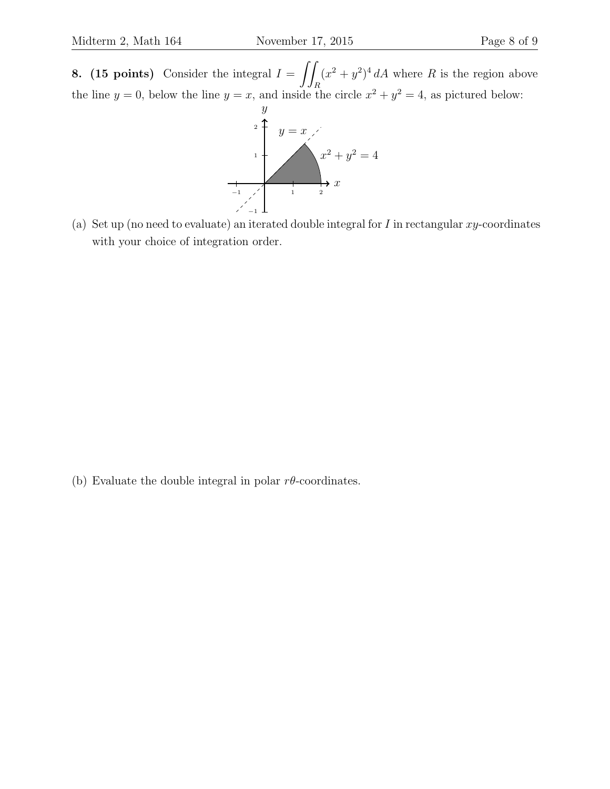**8.** (15 points) Consider the integral  $I = \iint$ R  $(x^2 + y^2)^4 dA$  where R is the region above the line  $y = 0$ , below the line  $y = x$ , and inside the circle  $x^2 + y^2 = 4$ , as pictured below:



(a) Set up (no need to evaluate) an iterated double integral for  $I$  in rectangular  $xy$ -coordinates with your choice of integration order.

(b) Evaluate the double integral in polar  $r\theta$ -coordinates.